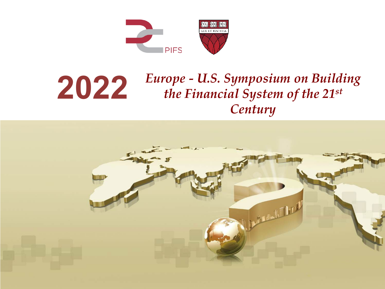

### **2022** *Europe - U.S. Symposium on Building the Financial System of the 21st Century*

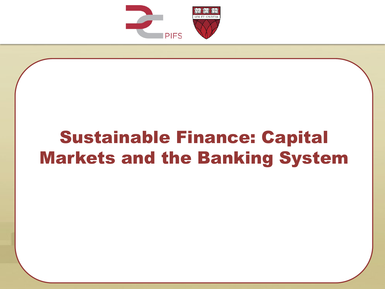

# Sustainable Finance: Capital Markets and the Banking System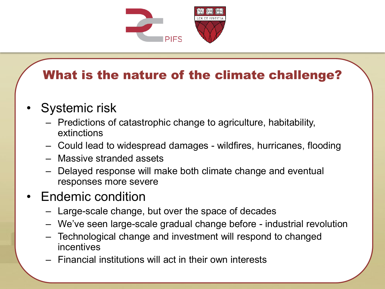

## What is the nature of the climate challenge?

- Systemic risk
	- Predictions of catastrophic change to agriculture, habitability, extinctions
	- Could lead to widespread damages wildfires, hurricanes, flooding
	- Massive stranded assets
	- Delayed response will make both climate change and eventual responses more severe
- Endemic condition
	- Large-scale change, but over the space of decades
	- We've seen large-scale gradual change before industrial revolution
	- Technological change and investment will respond to changed incentives
	- Financial institutions will act in their own interests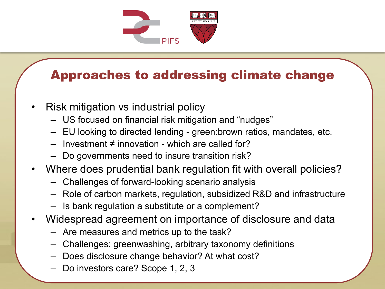

#### Approaches to addressing climate change

- Risk mitigation vs industrial policy
	- US focused on financial risk mitigation and "nudges"
	- EU looking to directed lending green:brown ratios, mandates, etc.
	- Investment ≠ innovation which are called for?
	- Do governments need to insure transition risk?
- Where does prudential bank regulation fit with overall policies?
	- Challenges of forward-looking scenario analysis
	- Role of carbon markets, regulation, subsidized R&D and infrastructure
	- Is bank regulation a substitute or a complement?
- Widespread agreement on importance of disclosure and data
	- Are measures and metrics up to the task?
	- Challenges: greenwashing, arbitrary taxonomy definitions
	- Does disclosure change behavior? At what cost?
	- Do investors care? Scope 1, 2, 3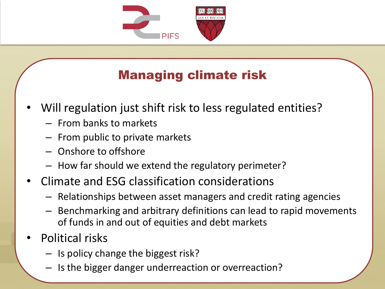

# Managing climate risk

- Will regulation just shift risk to less regulated entities?
	- From banks to markets
	- From public to private markets
	- Onshore to offshore
	- How far should we extend the regulatory perimeter?
- Climate and ESG classification considerations
	- Relationships between asset managers and credit rating agencies
	- Benchmarking and arbitrary definitions can lead to rapid movements of funds in and out of equities and debt markets
- Political risks
	- Is policy change the biggest risk?
	- Is the bigger danger underreaction or overreaction?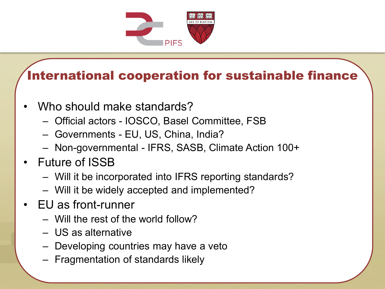

### International cooperation for sustainable finance

- Who should make standards?
	- Official actors IOSCO, Basel Committee, FSB
	- Governments EU, US, China, India?
	- Non-governmental IFRS, SASB, Climate Action 100+
- Future of ISSB
	- Will it be incorporated into IFRS reporting standards?
	- Will it be widely accepted and implemented?
- EU as front-runner
	- Will the rest of the world follow?
	- US as alternative
	- Developing countries may have a veto
	- Fragmentation of standards likely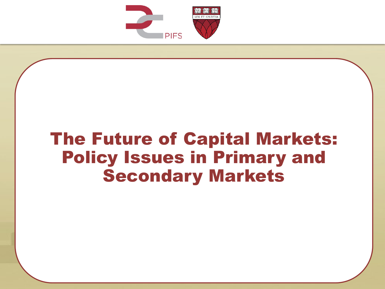

# The Future of Capital Markets: Policy Issues in Primary and Secondary Markets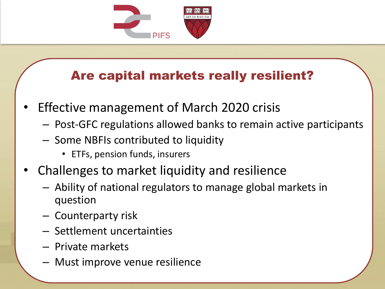

## Are capital markets really resilient?

- Effective management of March 2020 crisis
	- Post-GFC regulations allowed banks to remain active participants
	- Some NBFIs contributed to liquidity
		- ETFs, pension funds, insurers
- Challenges to market liquidity and resilience
	- Ability of national regulators to manage global markets in question
	- Counterparty risk
	- Settlement uncertainties
	- Private markets
	- Must improve venue resilience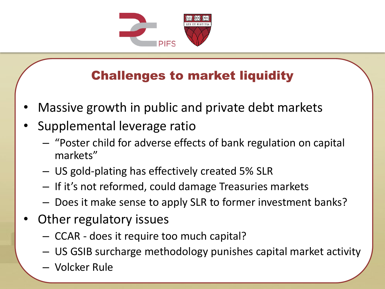

# Challenges to market liquidity

- Massive growth in public and private debt markets
- Supplemental leverage ratio
	- "Poster child for adverse effects of bank regulation on capital markets"
	- US gold-plating has effectively created 5% SLR
	- If it's not reformed, could damage Treasuries markets
	- Does it make sense to apply SLR to former investment banks?
- Other regulatory issues
	- CCAR does it require too much capital?
	- US GSIB surcharge methodology punishes capital market activity
	- Volcker Rule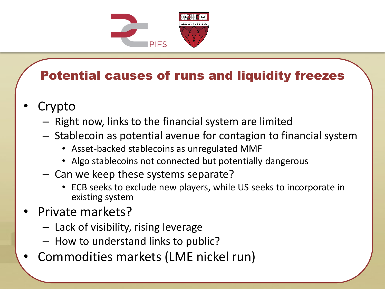

# Potential causes of runs and liquidity freezes

- **Crypto** 
	- Right now, links to the financial system are limited
	- Stablecoin as potential avenue for contagion to financial system
		- Asset-backed stablecoins as unregulated MMF
		- Algo stablecoins not connected but potentially dangerous
	- Can we keep these systems separate?
		- ECB seeks to exclude new players, while US seeks to incorporate in existing system
- Private markets?
	- Lack of visibility, rising leverage
	- How to understand links to public?
- Commodities markets (LME nickel run)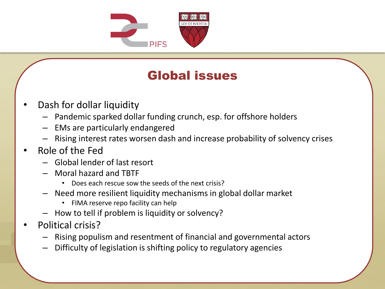

#### Global issues

- Dash for dollar liquidity
	- Pandemic sparked dollar funding crunch, esp. for offshore holders
	- EMs are particularly endangered
	- Rising interest rates worsen dash and increase probability of solvency crises
- Role of the Fed
	- Global lender of last resort
	- Moral hazard and TBTF
		- Does each rescue sow the seeds of the next crisis?
	- Need more resilient liquidity mechanisms in global dollar market
		- FIMA reserve repo facility can help
	- How to tell if problem is liquidity or solvency?
- Political crisis?
	- Rising populism and resentment of financial and governmental actors
	- Difficulty of legislation is shifting policy to regulatory agencies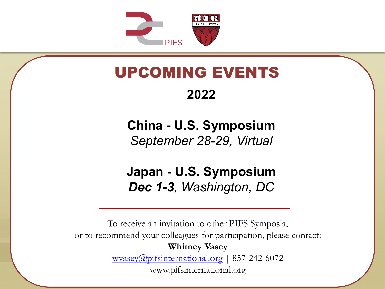

# UPCOMING EVENTS

#### **2022**

**China - U.S. Symposium** *September 28-29, Virtual* 

**Japan - U.S. Symposium** *Dec 1-3, Washington, DC* 

To receive an invitation to other PIFS Symposia, or to recommend your colleagues for participation, please contact: **Whitney Vasey** [wvasey@pifsinternational.org](mailto:wvasey@pifsinternational.org) | 857-242-6072 www.pifsinternational.org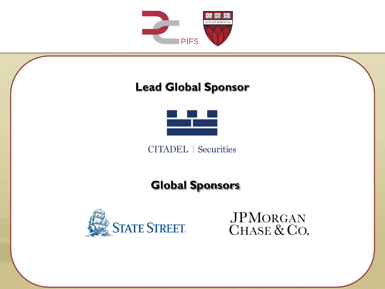

#### **Lead Global Sponsor**



**CITADEL** | Securities

#### **Global Sponsors**